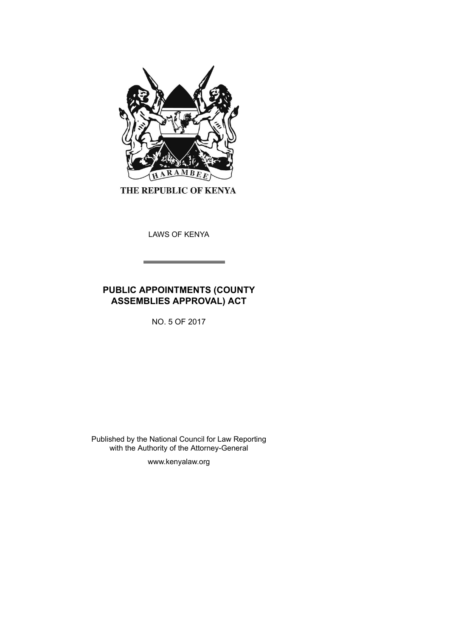

THE REPUBLIC OF KENYA

LAWS OF KENYA

# **PUBLIC APPOINTMENTS (COUNTY ASSEMBLIES APPROVAL) ACT**

NO. 5 OF 2017

Published by the National Council for Law Reporting with the Authority of the Attorney-General

www.kenyalaw.org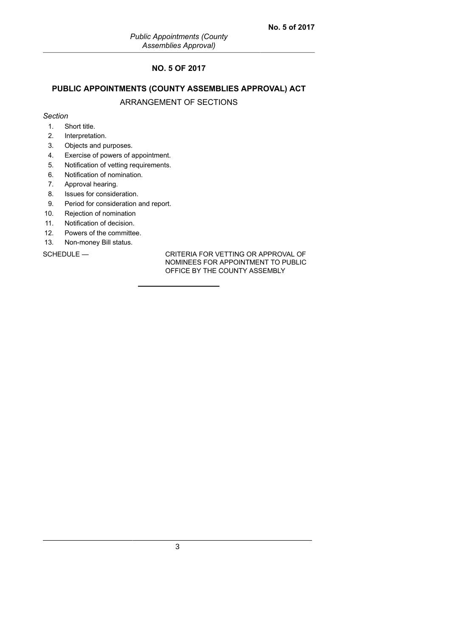## **NO. 5 OF 2017**

## **PUBLIC APPOINTMENTS (COUNTY ASSEMBLIES APPROVAL) ACT**

## ARRANGEMENT OF SECTIONS

## *Section*

- 1. Short title.
- 2. Interpretation.
- 3. Objects and purposes.
- 4. Exercise of powers of appointment.
- 5. Notification of vetting requirements.
- 6. Notification of nomination.
- 7. Approval hearing.
- 8. Issues for consideration.
- 9. Period for consideration and report.
- 10. Rejection of nomination
- 11. Notification of decision.
- 12. Powers of the committee.
- 13. Non-money Bill status.

SCHEDULE — CRITERIA FOR VETTING OR APPROVAL OF NOMINEES FOR APPOINTMENT TO PUBLIC OFFICE BY THE COUNTY ASSEMBLY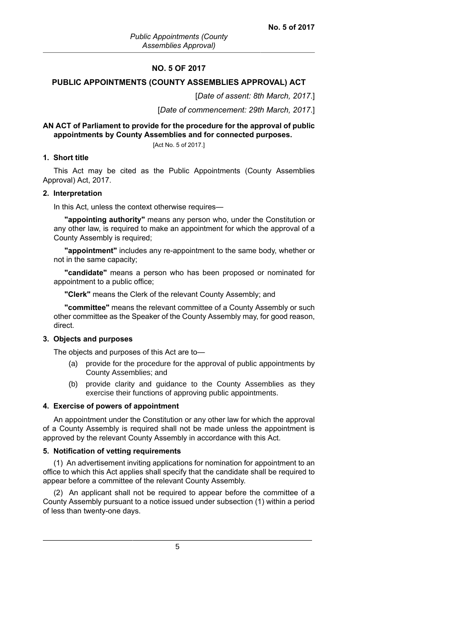## **NO. 5 OF 2017**

### **PUBLIC APPOINTMENTS (COUNTY ASSEMBLIES APPROVAL) ACT**

[*Date of assent: 8th March, 2017*.]

[*Date of commencement: 29th March, 2017*.]

## **AN ACT of Parliament to provide for the procedure for the approval of public appointments by County Assemblies and for connected purposes.**

[Act No. 5 of 2017.]

#### **1. Short title**

This Act may be cited as the Public Appointments (County Assemblies Approval) Act, 2017.

#### **2. Interpretation**

In this Act, unless the context otherwise requires—

**"appointing authority"** means any person who, under the Constitution or any other law, is required to make an appointment for which the approval of a County Assembly is required;

**"appointment"** includes any re-appointment to the same body, whether or not in the same capacity;

**"candidate"** means a person who has been proposed or nominated for appointment to a public office;

**"Clerk"** means the Clerk of the relevant County Assembly; and

**"committee"** means the relevant committee of a County Assembly or such other committee as the Speaker of the County Assembly may, for good reason, direct.

#### **3. Objects and purposes**

The objects and purposes of this Act are to—

- (a) provide for the procedure for the approval of public appointments by County Assemblies; and
- (b) provide clarity and guidance to the County Assemblies as they exercise their functions of approving public appointments.

#### **4. Exercise of powers of appointment**

An appointment under the Constitution or any other law for which the approval of a County Assembly is required shall not be made unless the appointment is approved by the relevant County Assembly in accordance with this Act.

#### **5. Notification of vetting requirements**

(1) An advertisement inviting applications for nomination for appointment to an office to which this Act applies shall specify that the candidate shall be required to appear before a committee of the relevant County Assembly.

(2) An applicant shall not be required to appear before the committee of a County Assembly pursuant to a notice issued under subsection (1) within a period of less than twenty-one days.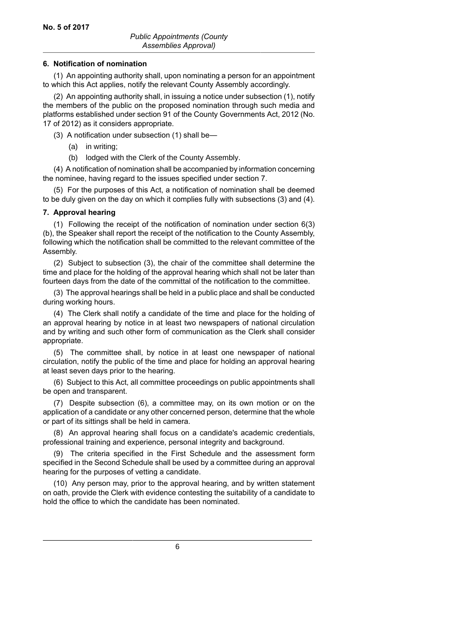## **6. Notification of nomination**

(1) An appointing authority shall, upon nominating a person for an appointment to which this Act applies, notify the relevant County Assembly accordingly.

(2) An appointing authority shall, in issuing a notice under subsection (1), notify the members of the public on the proposed nomination through such media and platforms established under section 91 of the County Governments Act, 2012 (No. 17 of 2012) as it considers appropriate.

(3) A notification under subsection (1) shall be—

- (a) in writing;
- (b) lodged with the Clerk of the County Assembly.

(4) A notification of nomination shall be accompanied by information concerning the nominee, having regard to the issues specified under section 7.

(5) For the purposes of this Act, a notification of nomination shall be deemed to be duly given on the day on which it complies fully with subsections (3) and (4).

## **7. Approval hearing**

(1) Following the receipt of the notification of nomination under section 6(3) (b), the Speaker shall report the receipt of the notification to the County Assembly, following which the notification shall be committed to the relevant committee of the Assembly.

(2) Subject to subsection (3), the chair of the committee shall determine the time and place for the holding of the approval hearing which shall not be later than fourteen days from the date of the committal of the notification to the committee.

(3) The approval hearings shall be held in a public place and shall be conducted during working hours.

(4) The Clerk shall notify a candidate of the time and place for the holding of an approval hearing by notice in at least two newspapers of national circulation and by writing and such other form of communication as the Clerk shall consider appropriate.

(5) The committee shall, by notice in at least one newspaper of national circulation, notify the public of the time and place for holding an approval hearing at least seven days prior to the hearing.

(6) Subject to this Act, all committee proceedings on public appointments shall be open and transparent.

(7) Despite subsection (6), a committee may, on its own motion or on the application of a candidate or any other concerned person, determine that the whole or part of its sittings shall be held in camera.

(8) An approval hearing shall focus on a candidate's academic credentials, professional training and experience, personal integrity and background.

(9) The criteria specified in the First Schedule and the assessment form specified in the Second Schedule shall be used by a committee during an approval hearing for the purposes of vetting a candidate.

(10) Any person may, prior to the approval hearing, and by written statement on oath, provide the Clerk with evidence contesting the suitability of a candidate to hold the office to which the candidate has been nominated.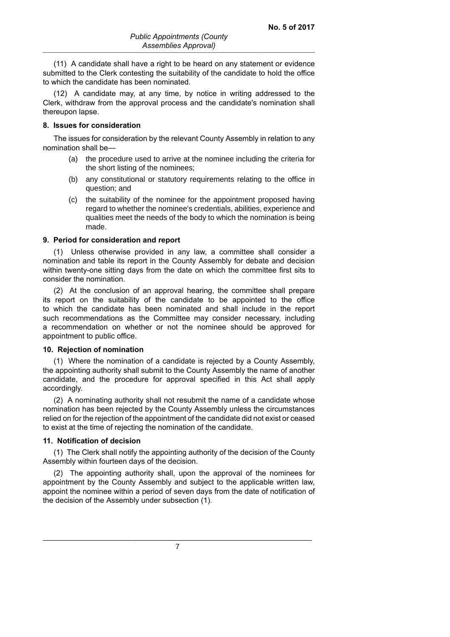(11) A candidate shall have a right to be heard on any statement or evidence submitted to the Clerk contesting the suitability of the candidate to hold the office to which the candidate has been nominated.

(12) A candidate may, at any time, by notice in writing addressed to the Clerk, withdraw from the approval process and the candidate's nomination shall thereupon lapse.

### **8. Issues for consideration**

The issues for consideration by the relevant County Assembly in relation to any nomination shall be—

- (a) the procedure used to arrive at the nominee including the criteria for the short listing of the nominees;
- (b) any constitutional or statutory requirements relating to the office in question; and
- (c) the suitability of the nominee for the appointment proposed having regard to whether the nominee's credentials, abilities, experience and qualities meet the needs of the body to which the nomination is being made.

#### **9. Period for consideration and report**

(1) Unless otherwise provided in any law, a committee shall consider a nomination and table its report in the County Assembly for debate and decision within twenty-one sitting days from the date on which the committee first sits to consider the nomination.

(2) At the conclusion of an approval hearing, the committee shall prepare its report on the suitability of the candidate to be appointed to the office to which the candidate has been nominated and shall include in the report such recommendations as the Committee may consider necessary, including a recommendation on whether or not the nominee should be approved for appointment to public office.

### **10. Rejection of nomination**

(1) Where the nomination of a candidate is rejected by a County Assembly, the appointing authority shall submit to the County Assembly the name of another candidate, and the procedure for approval specified in this Act shall apply accordingly.

(2) A nominating authority shall not resubmit the name of a candidate whose nomination has been rejected by the County Assembly unless the circumstances relied on for the rejection of the appointment of the candidate did not exist or ceased to exist at the time of rejecting the nomination of the candidate.

#### **11. Notification of decision**

(1) The Clerk shall notify the appointing authority of the decision of the County Assembly within fourteen days of the decision.

(2) The appointing authority shall, upon the approval of the nominees for appointment by the County Assembly and subject to the applicable written law, appoint the nominee within a period of seven days from the date of notification of the decision of the Assembly under subsection (1).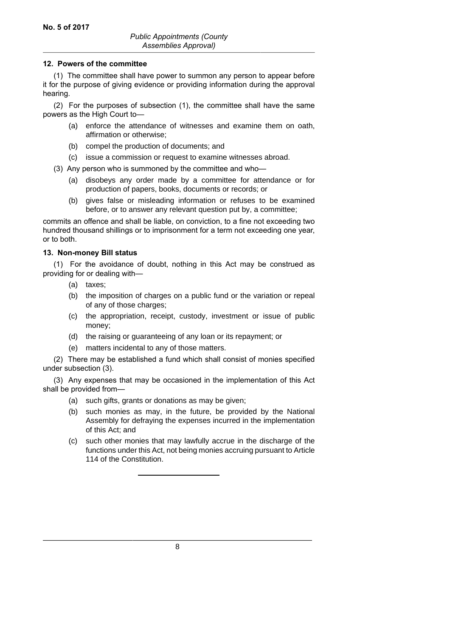## **12. Powers of the committee**

(1) The committee shall have power to summon any person to appear before it for the purpose of giving evidence or providing information during the approval hearing.

(2) For the purposes of subsection (1), the committee shall have the same powers as the High Court to—

- (a) enforce the attendance of witnesses and examine them on oath, affirmation or otherwise;
- (b) compel the production of documents; and
- (c) issue a commission or request to examine witnesses abroad.
- (3) Any person who is summoned by the committee and who—
	- (a) disobeys any order made by a committee for attendance or for production of papers, books, documents or records; or
	- (b) gives false or misleading information or refuses to be examined before, or to answer any relevant question put by, a committee;

commits an offence and shall be liable, on conviction, to a fine not exceeding two hundred thousand shillings or to imprisonment for a term not exceeding one year, or to both.

## **13. Non-money Bill status**

(1) For the avoidance of doubt, nothing in this Act may be construed as providing for or dealing with—

- (a) taxes;
- (b) the imposition of charges on a public fund or the variation or repeal of any of those charges;
- (c) the appropriation, receipt, custody, investment or issue of public money;
- (d) the raising or guaranteeing of any loan or its repayment; or
- (e) matters incidental to any of those matters.

(2) There may be established a fund which shall consist of monies specified under subsection (3).

(3) Any expenses that may be occasioned in the implementation of this Act shall be provided from—

- (a) such gifts, grants or donations as may be given;
- (b) such monies as may, in the future, be provided by the National Assembly for defraying the expenses incurred in the implementation of this Act; and
- (c) such other monies that may lawfully accrue in the discharge of the functions under this Act, not being monies accruing pursuant to Article 114 of the Constitution.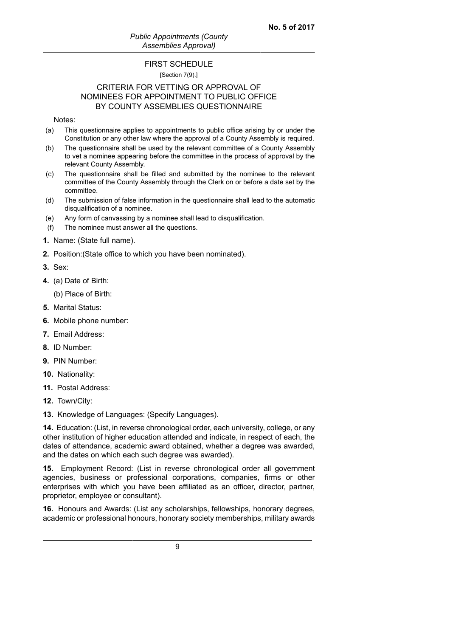## FIRST SCHEDULE

[Section 7(9).]

## CRITERIA FOR VETTING OR APPROVAL OF NOMINEES FOR APPOINTMENT TO PUBLIC OFFICE BY COUNTY ASSEMBLIES QUESTIONNAIRE

## Notes:

- (a) This questionnaire applies to appointments to public office arising by or under the Constitution or any other law where the approval of a County Assembly is required.
- (b) The questionnaire shall be used by the relevant committee of a County Assembly to vet a nominee appearing before the committee in the process of approval by the relevant County Assembly.
- (c) The questionnaire shall be filled and submitted by the nominee to the relevant committee of the County Assembly through the Clerk on or before a date set by the committee.
- (d) The submission of false information in the questionnaire shall lead to the automatic disqualification of a nominee.
- (e) Any form of canvassing by a nominee shall lead to disqualification.
- (f) The nominee must answer all the questions.
- **1.** Name: (State full name).
- **2.** Position:(State office to which you have been nominated).
- **3.** Sex:
- **4.** (a) Date of Birth:

(b) Place of Birth:

- **5.** Marital Status:
- **6.** Mobile phone number:
- **7.** Email Address:
- **8.** ID Number:
- **9.** PIN Number:
- **10.** Nationality:
- **11.** Postal Address:
- **12.** Town/City:
- **13.** Knowledge of Languages: (Specify Languages).

**14.** Education: (List, in reverse chronological order, each university, college, or any other institution of higher education attended and indicate, in respect of each, the dates of attendance, academic award obtained, whether a degree was awarded, and the dates on which each such degree was awarded).

**15.** Employment Record: (List in reverse chronological order all government agencies, business or professional corporations, companies, firms or other enterprises with which you have been affiliated as an officer, director, partner, proprietor, employee or consultant).

**16.** Honours and Awards: (List any scholarships, fellowships, honorary degrees, academic or professional honours, honorary society memberships, military awards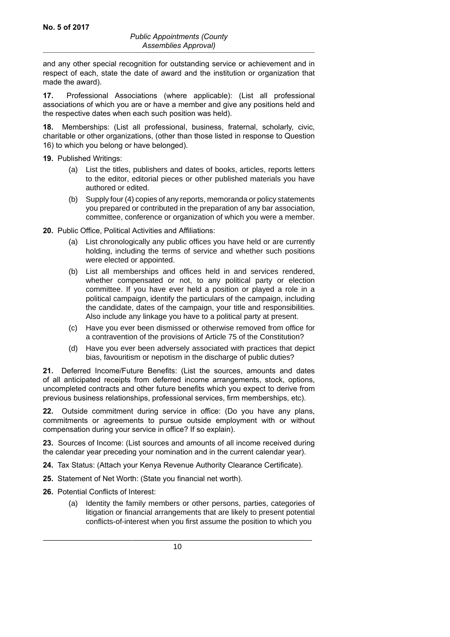and any other special recognition for outstanding service or achievement and in respect of each, state the date of award and the institution or organization that made the award).

**17.** Professional Associations (where applicable): (List all professional associations of which you are or have a member and give any positions held and the respective dates when each such position was held).

**18.** Memberships: (List all professional, business, fraternal, scholarly, civic, charitable or other organizations, (other than those listed in response to Question 16) to which you belong or have belonged).

**19.** Published Writings:

- (a) List the titles, publishers and dates of books, articles, reports letters to the editor, editorial pieces or other published materials you have authored or edited.
- (b) Supply four (4) copies of any reports, memoranda or policy statements you prepared or contributed in the preparation of any bar association, committee, conference or organization of which you were a member.

**20.** Public Office, Political Activities and Affiliations:

- (a) List chronologically any public offices you have held or are currently holding, including the terms of service and whether such positions were elected or appointed.
- (b) List all memberships and offices held in and services rendered, whether compensated or not, to any political party or election committee. If you have ever held a position or played a role in a political campaign, identify the particulars of the campaign, including the candidate, dates of the campaign, your title and responsibilities. Also include any linkage you have to a political party at present.
- (c) Have you ever been dismissed or otherwise removed from office for a contravention of the provisions of Article 75 of the Constitution?
- (d) Have you ever been adversely associated with practices that depict bias, favouritism or nepotism in the discharge of public duties?

**21.** Deferred Income/Future Benefits: (List the sources, amounts and dates of all anticipated receipts from deferred income arrangements, stock, options, uncompleted contracts and other future benefits which you expect to derive from previous business relationships, professional services, firm memberships, etc).

**22.** Outside commitment during service in office: (Do you have any plans, commitments or agreements to pursue outside employment with or without compensation during your service in office? If so explain).

**23.** Sources of Income: (List sources and amounts of all income received during the calendar year preceding your nomination and in the current calendar year).

- **24.** Tax Status: (Attach your Kenya Revenue Authority Clearance Certificate).
- **25.** Statement of Net Worth: (State you financial net worth).
- **26.** Potential Conflicts of Interest:
	- (a) Identity the family members or other persons, parties, categories of litigation or financial arrangements that are likely to present potential conflicts-of-interest when you first assume the position to which you